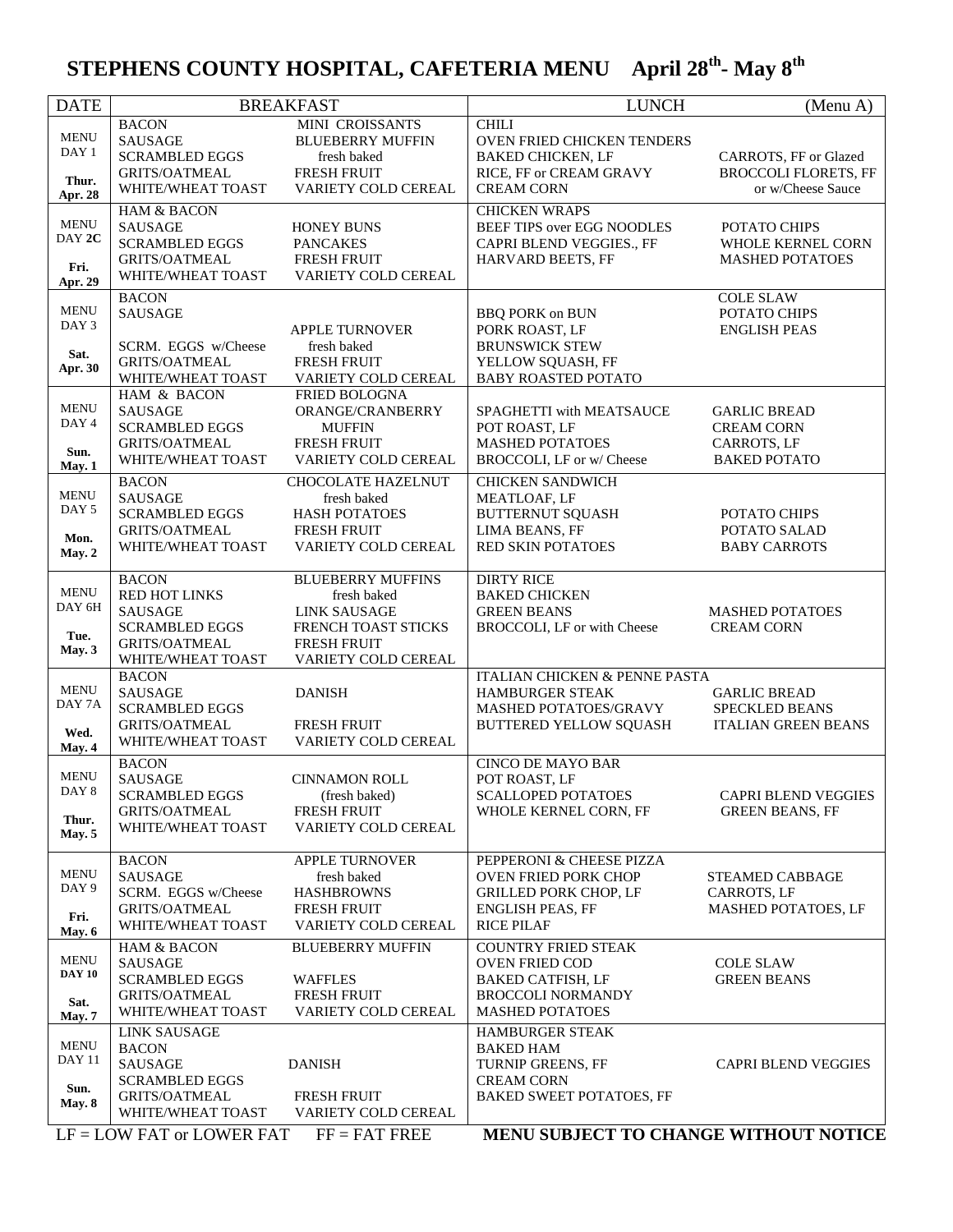## **STEPHENS COUNTY HOSPITAL, CAFETERIA MENU April 28th - May 8th**

| <b>DATE</b>                                              |                                                                                                                              | <b>BREAKFAST</b>                                                                                                                   | <b>LUNCH</b>                                                                                                                            | (Menu A)                                                                       |
|----------------------------------------------------------|------------------------------------------------------------------------------------------------------------------------------|------------------------------------------------------------------------------------------------------------------------------------|-----------------------------------------------------------------------------------------------------------------------------------------|--------------------------------------------------------------------------------|
| <b>MENU</b><br>DAY 1<br>Thur.<br>Apr. 28                 | <b>BACON</b><br><b>SAUSAGE</b><br><b>SCRAMBLED EGGS</b><br><b>GRITS/OATMEAL</b><br>WHITE/WHEAT TOAST                         | MINI CROISSANTS<br><b>BLUEBERRY MUFFIN</b><br>fresh baked<br><b>FRESH FRUIT</b><br>VARIETY COLD CEREAL                             | <b>CHILI</b><br>OVEN FRIED CHICKEN TENDERS<br><b>BAKED CHICKEN, LF</b><br>RICE, FF or CREAM GRAVY<br><b>CREAM CORN</b>                  | CARROTS, FF or Glazed<br><b>BROCCOLI FLORETS, FF</b><br>or w/Cheese Sauce      |
| <b>MENU</b><br>DAY 2C<br>Fri.<br>Apr. 29                 | <b>HAM &amp; BACON</b><br><b>SAUSAGE</b><br><b>SCRAMBLED EGGS</b><br><b>GRITS/OATMEAL</b><br>WHITE/WHEAT TOAST               | <b>HONEY BUNS</b><br><b>PANCAKES</b><br>FRESH FRUIT<br><b>VARIETY COLD CEREAL</b>                                                  | <b>CHICKEN WRAPS</b><br>BEEF TIPS over EGG NOODLES<br>CAPRI BLEND VEGGIES., FF<br>HARVARD BEETS, FF                                     | POTATO CHIPS<br>WHOLE KERNEL CORN<br><b>MASHED POTATOES</b>                    |
| <b>MENU</b><br>DAY 3<br>Sat.<br>Apr. 30                  | <b>BACON</b><br><b>SAUSAGE</b><br>SCRM. EGGS w/Cheese<br><b>GRITS/OATMEAL</b><br>WHITE/WHEAT TOAST                           | <b>APPLE TURNOVER</b><br>fresh baked<br>FRESH FRUIT<br>VARIETY COLD CEREAL                                                         | <b>BBQ PORK on BUN</b><br>PORK ROAST, LF<br><b>BRUNSWICK STEW</b><br>YELLOW SQUASH, FF<br><b>BABY ROASTED POTATO</b>                    | <b>COLE SLAW</b><br>POTATO CHIPS<br><b>ENGLISH PEAS</b>                        |
| <b>MENU</b><br>DAY 4<br>Sun.<br>May. 1                   | HAM & BACON<br><b>SAUSAGE</b><br><b>SCRAMBLED EGGS</b><br>GRITS/OATMEAL<br>WHITE/WHEAT TOAST                                 | FRIED BOLOGNA<br>ORANGE/CRANBERRY<br><b>MUFFIN</b><br><b>FRESH FRUIT</b><br>VARIETY COLD CEREAL                                    | SPAGHETTI with MEATSAUCE<br>POT ROAST, LF<br><b>MASHED POTATOES</b><br>BROCCOLI, LF or w/ Cheese                                        | <b>GARLIC BREAD</b><br><b>CREAM CORN</b><br>CARROTS, LF<br><b>BAKED POTATO</b> |
| <b>MENU</b><br>DAY 5<br>Mon.<br>May. 2                   | <b>BACON</b><br><b>SAUSAGE</b><br><b>SCRAMBLED EGGS</b><br><b>GRITS/OATMEAL</b><br>WHITE/WHEAT TOAST                         | <b>CHOCOLATE HAZELNUT</b><br>fresh baked<br>HASH POTATOES<br>FRESH FRUIT<br>VARIETY COLD CEREAL                                    | <b>CHICKEN SANDWICH</b><br>MEATLOAF, LF<br><b>BUTTERNUT SQUASH</b><br>LIMA BEANS, FF<br>RED SKIN POTATOES                               | POTATO CHIPS<br>POTATO SALAD<br><b>BABY CARROTS</b>                            |
| <b>MENU</b><br>DAY 6H<br>Tue.<br>May. 3                  | <b>BACON</b><br><b>RED HOT LINKS</b><br><b>SAUSAGE</b><br><b>SCRAMBLED EGGS</b><br><b>GRITS/OATMEAL</b><br>WHITE/WHEAT TOAST | <b>BLUEBERRY MUFFINS</b><br>fresh baked<br><b>LINK SAUSAGE</b><br>FRENCH TOAST STICKS<br><b>FRESH FRUIT</b><br>VARIETY COLD CEREAL | <b>DIRTY RICE</b><br><b>BAKED CHICKEN</b><br><b>GREEN BEANS</b><br>BROCCOLI, LF or with Cheese                                          | <b>MASHED POTATOES</b><br><b>CREAM CORN</b>                                    |
| <b>MENU</b><br>DAY 7A<br>Wed.<br>May. 4                  | <b>BACON</b><br><b>SAUSAGE</b><br><b>SCRAMBLED EGGS</b><br><b>GRITS/OATMEAL</b><br>WHITE/WHEAT TOAST                         | <b>DANISH</b><br><b>FRESH FRUIT</b><br>VARIETY COLD CEREAL                                                                         | ITALIAN CHICKEN & PENNE PASTA<br>HAMBURGER STEAK<br>MASHED POTATOES/GRAVY<br>BUTTERED YELLOW SQUASH                                     | <b>GARLIC BREAD</b><br><b>SPECKLED BEANS</b><br><b>ITALIAN GREEN BEANS</b>     |
| MENU<br>DAY 8<br>Thur.<br>May. 5                         | <b>BACON</b><br><b>SAUSAGE</b><br><b>SCRAMBLED EGGS</b><br><b>GRITS/OATMEAL</b><br>WHITE/WHEAT TOAST                         | <b>CINNAMON ROLL</b><br>(fresh baked)<br><b>FRESH FRUIT</b><br>VARIETY COLD CEREAL                                                 | <b>CINCO DE MAYO BAR</b><br>POT ROAST, LF<br><b>SCALLOPED POTATOES</b><br>WHOLE KERNEL CORN, FF                                         | CAPRI BLEND VEGGIES<br><b>GREEN BEANS, FF</b>                                  |
| <b>MENU</b><br>DAY <sub>9</sub><br>Fri.<br><b>May. 6</b> | <b>BACON</b><br><b>SAUSAGE</b><br>SCRM. EGGS w/Cheese<br><b>GRITS/OATMEAL</b><br>WHITE/WHEAT TOAST                           | <b>APPLE TURNOVER</b><br>fresh baked<br><b>HASHBROWNS</b><br><b>FRESH FRUIT</b><br><b>VARIETY COLD CEREAL</b>                      | PEPPERONI & CHEESE PIZZA<br><b>OVEN FRIED PORK CHOP</b><br><b>GRILLED PORK CHOP, LF</b><br><b>ENGLISH PEAS, FF</b><br><b>RICE PILAF</b> | <b>STEAMED CABBAGE</b><br>CARROTS, LF<br>MASHED POTATOES, LF                   |
| <b>MENU</b><br><b>DAY 10</b><br>Sat.<br>May. 7           | <b>HAM &amp; BACON</b><br><b>SAUSAGE</b><br><b>SCRAMBLED EGGS</b><br><b>GRITS/OATMEAL</b><br>WHITE/WHEAT TOAST               | <b>BLUEBERRY MUFFIN</b><br><b>WAFFLES</b><br><b>FRESH FRUIT</b><br>VARIETY COLD CEREAL                                             | <b>COUNTRY FRIED STEAK</b><br><b>OVEN FRIED COD</b><br><b>BAKED CATFISH, LF</b><br><b>BROCCOLI NORMANDY</b><br><b>MASHED POTATOES</b>   | <b>COLE SLAW</b><br><b>GREEN BEANS</b>                                         |
| <b>MENU</b><br><b>DAY 11</b><br>Sun.<br>May. $8$         | <b>LINK SAUSAGE</b><br><b>BACON</b><br><b>SAUSAGE</b><br><b>SCRAMBLED EGGS</b><br><b>GRITS/OATMEAL</b>                       | <b>DANISH</b><br><b>FRESH FRUIT</b>                                                                                                | HAMBURGER STEAK<br><b>BAKED HAM</b><br>TURNIP GREENS, FF<br><b>CREAM CORN</b><br>BAKED SWEET POTATOES, FF                               | <b>CAPRI BLEND VEGGIES</b>                                                     |
|                                                          | WHITE/WHEAT TOAST<br>$LF =$ LOW FAT or LOWER FAT                                                                             | VARIETY COLD CEREAL<br>$FF = FAT$ FREE                                                                                             | MENU SUBJECT TO CHANGE WITHOUT NOTICE                                                                                                   |                                                                                |